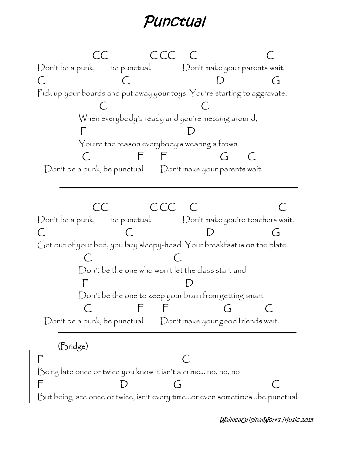## *Punctual*

**CC C CC C C** Don't be a punk, be punctual. Don't make your parents wait. **C C D G** Pick up your boards and put away your toys. You're starting to aggravate. **C C** When everybody's ready and you're messing around, **F D** You're the reason everybody's wearing a frown **C F F G C** Don't be a punk, be punctual. Don't make your parents wait. **CC C CC C C** Don't be a punk, be punctual. Don't make you're teachers wait. **C C D G** Get out of your bed, you lazy sleepy-head. Your breakfast is on the plate. **C C** Don't be the one who won't let the class start and **F D** Don't be the one to keep your brain from getting smart **C F F G C** Don't be a punk, be punctual. Don't make your good friends wait. **(Bridge) F C** Being late once or twice you know it isn't a crime… no, no, no **F D G C** But being late once or twice, isn't every time…or even sometimes…be punctual

*WaimeaOriginalWorks.Music.2015*